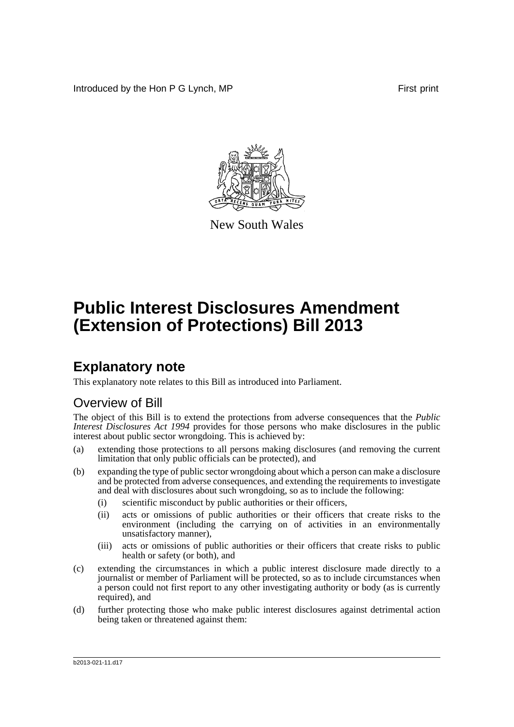Introduced by the Hon P G Lynch, MP First print



New South Wales

# **Public Interest Disclosures Amendment (Extension of Protections) Bill 2013**

# **Explanatory note**

This explanatory note relates to this Bill as introduced into Parliament.

# Overview of Bill

The object of this Bill is to extend the protections from adverse consequences that the *Public Interest Disclosures Act 1994* provides for those persons who make disclosures in the public interest about public sector wrongdoing. This is achieved by:

- (a) extending those protections to all persons making disclosures (and removing the current limitation that only public officials can be protected), and
- (b) expanding the type of public sector wrongdoing about which a person can make a disclosure and be protected from adverse consequences, and extending the requirements to investigate and deal with disclosures about such wrongdoing, so as to include the following:
	- (i) scientific misconduct by public authorities or their officers,
	- (ii) acts or omissions of public authorities or their officers that create risks to the environment (including the carrying on of activities in an environmentally unsatisfactory manner),
	- (iii) acts or omissions of public authorities or their officers that create risks to public health or safety (or both), and
- (c) extending the circumstances in which a public interest disclosure made directly to a journalist or member of Parliament will be protected, so as to include circumstances when a person could not first report to any other investigating authority or body (as is currently required), and
- (d) further protecting those who make public interest disclosures against detrimental action being taken or threatened against them: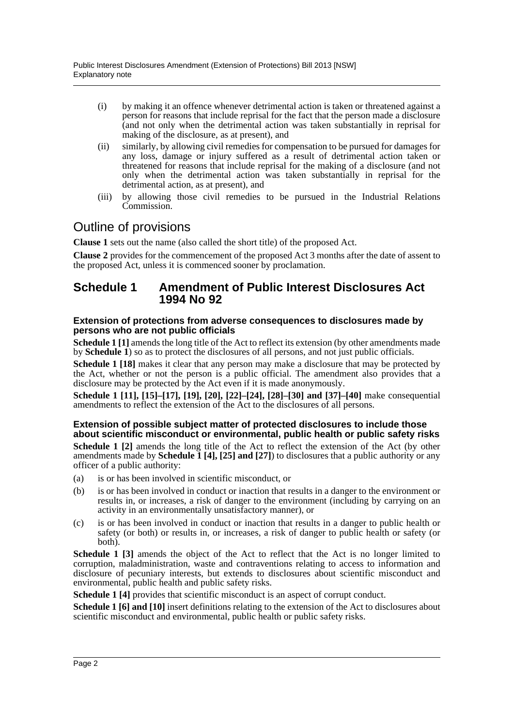- (i) by making it an offence whenever detrimental action is taken or threatened against a person for reasons that include reprisal for the fact that the person made a disclosure (and not only when the detrimental action was taken substantially in reprisal for making of the disclosure, as at present), and
- (ii) similarly, by allowing civil remedies for compensation to be pursued for damages for any loss, damage or injury suffered as a result of detrimental action taken or threatened for reasons that include reprisal for the making of a disclosure (and not only when the detrimental action was taken substantially in reprisal for the detrimental action, as at present), and
- (iii) by allowing those civil remedies to be pursued in the Industrial Relations Commission.

# Outline of provisions

**Clause 1** sets out the name (also called the short title) of the proposed Act.

**Clause 2** provides for the commencement of the proposed Act 3 months after the date of assent to the proposed Act, unless it is commenced sooner by proclamation.

## **Schedule 1 Amendment of Public Interest Disclosures Act 1994 No 92**

#### **Extension of protections from adverse consequences to disclosures made by persons who are not public officials**

**Schedule 1** [1] amends the long title of the Act to reflect its extension (by other amendments made by **Schedule 1**) so as to protect the disclosures of all persons, and not just public officials.

**Schedule 1 [18]** makes it clear that any person may make a disclosure that may be protected by the Act, whether or not the person is a public official. The amendment also provides that a disclosure may be protected by the Act even if it is made anonymously.

**Schedule 1 [11], [15]–[17], [19], [20], [22]–[24], [28]–[30] and [37]–[40]** make consequential amendments to reflect the extension of the Act to the disclosures of all persons.

#### **Extension of possible subject matter of protected disclosures to include those about scientific misconduct or environmental, public health or public safety risks**

**Schedule 1 [2]** amends the long title of the Act to reflect the extension of the Act (by other amendments made by **Schedule 1 [4], [25] and [27]**) to disclosures that a public authority or any officer of a public authority:

- (a) is or has been involved in scientific misconduct, or
- (b) is or has been involved in conduct or inaction that results in a danger to the environment or results in, or increases, a risk of danger to the environment (including by carrying on an activity in an environmentally unsatisfactory manner), or
- (c) is or has been involved in conduct or inaction that results in a danger to public health or safety (or both) or results in, or increases, a risk of danger to public health or safety (or both).

**Schedule 1 [3]** amends the object of the Act to reflect that the Act is no longer limited to corruption, maladministration, waste and contraventions relating to access to information and disclosure of pecuniary interests, but extends to disclosures about scientific misconduct and environmental, public health and public safety risks.

**Schedule 1 [4]** provides that scientific misconduct is an aspect of corrupt conduct.

**Schedule 1 [6] and [10]** insert definitions relating to the extension of the Act to disclosures about scientific misconduct and environmental, public health or public safety risks.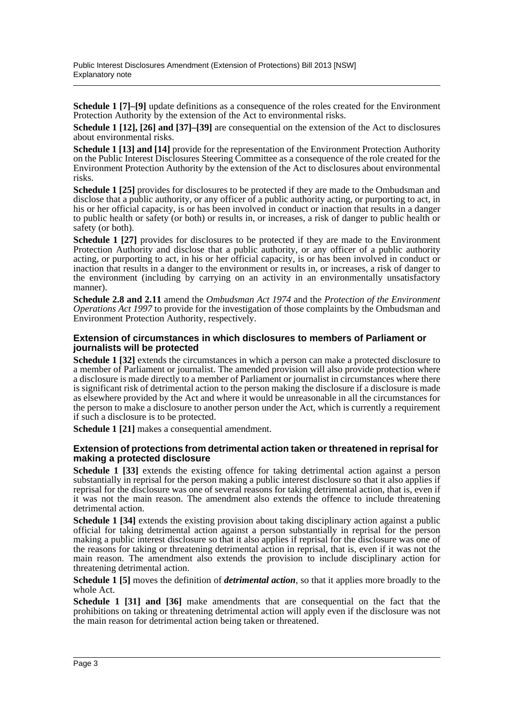**Schedule 1 [7]–[9]** update definitions as a consequence of the roles created for the Environment Protection Authority by the extension of the Act to environmental risks.

**Schedule 1 [12], [26] and [37]–[39]** are consequential on the extension of the Act to disclosures about environmental risks.

**Schedule 1 [13] and [14]** provide for the representation of the Environment Protection Authority on the Public Interest Disclosures Steering Committee as a consequence of the role created for the Environment Protection Authority by the extension of the Act to disclosures about environmental risks.

**Schedule 1 [25]** provides for disclosures to be protected if they are made to the Ombudsman and disclose that a public authority, or any officer of a public authority acting, or purporting to act, in his or her official capacity, is or has been involved in conduct or inaction that results in a danger to public health or safety (or both) or results in, or increases, a risk of danger to public health or safety (or both).

**Schedule 1 [27]** provides for disclosures to be protected if they are made to the Environment Protection Authority and disclose that a public authority, or any officer of a public authority acting, or purporting to act, in his or her official capacity, is or has been involved in conduct or inaction that results in a danger to the environment or results in, or increases, a risk of danger to the environment (including by carrying on an activity in an environmentally unsatisfactory manner).

**Schedule 2.8 and 2.11** amend the *Ombudsman Act 1974* and the *Protection of the Environment Operations Act 1997* to provide for the investigation of those complaints by the Ombudsman and Environment Protection Authority, respectively.

#### **Extension of circumstances in which disclosures to members of Parliament or journalists will be protected**

**Schedule 1 [32]** extends the circumstances in which a person can make a protected disclosure to a member of Parliament or journalist. The amended provision will also provide protection where a disclosure is made directly to a member of Parliament or journalist in circumstances where there is significant risk of detrimental action to the person making the disclosure if a disclosure is made as elsewhere provided by the Act and where it would be unreasonable in all the circumstances for the person to make a disclosure to another person under the Act, which is currently a requirement if such a disclosure is to be protected.

**Schedule 1 [21]** makes a consequential amendment.

#### **Extension of protections from detrimental action taken or threatened in reprisal for making a protected disclosure**

**Schedule 1 [33]** extends the existing offence for taking detrimental action against a person substantially in reprisal for the person making a public interest disclosure so that it also applies if reprisal for the disclosure was one of several reasons for taking detrimental action, that is, even if it was not the main reason. The amendment also extends the offence to include threatening detrimental action.

**Schedule 1 [34]** extends the existing provision about taking disciplinary action against a public official for taking detrimental action against a person substantially in reprisal for the person making a public interest disclosure so that it also applies if reprisal for the disclosure was one of the reasons for taking or threatening detrimental action in reprisal, that is, even if it was not the main reason. The amendment also extends the provision to include disciplinary action for threatening detrimental action.

**Schedule 1 [5]** moves the definition of *detrimental action*, so that it applies more broadly to the whole Act.

**Schedule 1 [31] and [36]** make amendments that are consequential on the fact that the prohibitions on taking or threatening detrimental action will apply even if the disclosure was not the main reason for detrimental action being taken or threatened.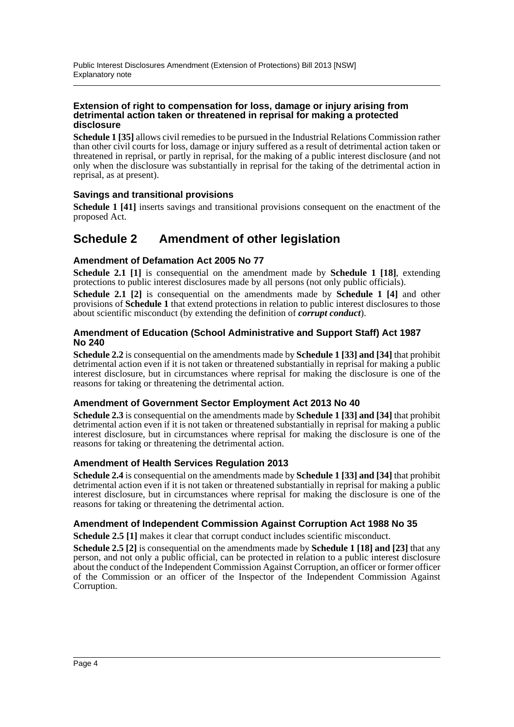#### **Extension of right to compensation for loss, damage or injury arising from detrimental action taken or threatened in reprisal for making a protected disclosure**

**Schedule 1 [35]** allows civil remedies to be pursued in the Industrial Relations Commission rather than other civil courts for loss, damage or injury suffered as a result of detrimental action taken or threatened in reprisal, or partly in reprisal, for the making of a public interest disclosure (and not only when the disclosure was substantially in reprisal for the taking of the detrimental action in reprisal, as at present).

## **Savings and transitional provisions**

**Schedule 1** [41] inserts savings and transitional provisions consequent on the enactment of the proposed Act.

## **Schedule 2 Amendment of other legislation**

### **Amendment of Defamation Act 2005 No 77**

**Schedule 2.1 [1]** is consequential on the amendment made by **Schedule 1 [18]**, extending protections to public interest disclosures made by all persons (not only public officials).

**Schedule 2.1 [2]** is consequential on the amendments made by **Schedule 1 [4]** and other provisions of **Schedule 1** that extend protections in relation to public interest disclosures to those about scientific misconduct (by extending the definition of *corrupt conduct*).

#### **Amendment of Education (School Administrative and Support Staff) Act 1987 No 240**

**Schedule 2.2** is consequential on the amendments made by **Schedule 1 [33] and [34]** that prohibit detrimental action even if it is not taken or threatened substantially in reprisal for making a public interest disclosure, but in circumstances where reprisal for making the disclosure is one of the reasons for taking or threatening the detrimental action.

### **Amendment of Government Sector Employment Act 2013 No 40**

**Schedule 2.3** is consequential on the amendments made by **Schedule 1 [33] and [34]** that prohibit detrimental action even if it is not taken or threatened substantially in reprisal for making a public interest disclosure, but in circumstances where reprisal for making the disclosure is one of the reasons for taking or threatening the detrimental action.

### **Amendment of Health Services Regulation 2013**

**Schedule 2.4** is consequential on the amendments made by **Schedule 1 [33] and [34]** that prohibit detrimental action even if it is not taken or threatened substantially in reprisal for making a public interest disclosure, but in circumstances where reprisal for making the disclosure is one of the reasons for taking or threatening the detrimental action.

### **Amendment of Independent Commission Against Corruption Act 1988 No 35**

**Schedule 2.5 [1]** makes it clear that corrupt conduct includes scientific misconduct.

**Schedule 2.5 [2]** is consequential on the amendments made by **Schedule 1 [18] and [23]** that any person, and not only a public official, can be protected in relation to a public interest disclosure about the conduct of the Independent Commission Against Corruption, an officer or former officer of the Commission or an officer of the Inspector of the Independent Commission Against Corruption.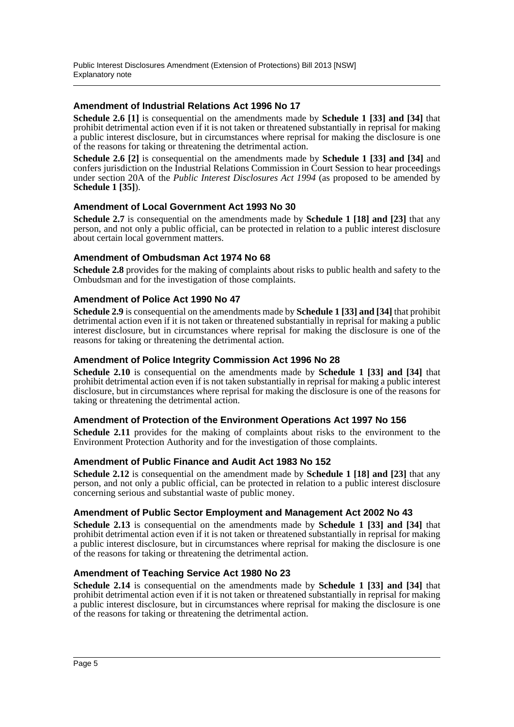## **Amendment of Industrial Relations Act 1996 No 17**

**Schedule 2.6 [1]** is consequential on the amendments made by **Schedule 1 [33] and [34]** that prohibit detrimental action even if it is not taken or threatened substantially in reprisal for making a public interest disclosure, but in circumstances where reprisal for making the disclosure is one of the reasons for taking or threatening the detrimental action.

**Schedule 2.6 [2]** is consequential on the amendments made by **Schedule 1 [33] and [34]** and confers jurisdiction on the Industrial Relations Commission in Court Session to hear proceedings under section 20A of the *Public Interest Disclosures Act 1994* (as proposed to be amended by **Schedule 1 [35]**).

#### **Amendment of Local Government Act 1993 No 30**

**Schedule 2.7** is consequential on the amendments made by **Schedule 1 [18] and [23]** that any person, and not only a public official, can be protected in relation to a public interest disclosure about certain local government matters.

### **Amendment of Ombudsman Act 1974 No 68**

**Schedule 2.8** provides for the making of complaints about risks to public health and safety to the Ombudsman and for the investigation of those complaints.

#### **Amendment of Police Act 1990 No 47**

**Schedule 2.9** is consequential on the amendments made by **Schedule 1 [33] and [34]** that prohibit detrimental action even if it is not taken or threatened substantially in reprisal for making a public interest disclosure, but in circumstances where reprisal for making the disclosure is one of the reasons for taking or threatening the detrimental action.

#### **Amendment of Police Integrity Commission Act 1996 No 28**

**Schedule 2.10** is consequential on the amendments made by **Schedule 1 [33] and [34]** that prohibit detrimental action even if is not taken substantially in reprisal for making a public interest disclosure, but in circumstances where reprisal for making the disclosure is one of the reasons for taking or threatening the detrimental action.

### **Amendment of Protection of the Environment Operations Act 1997 No 156**

**Schedule 2.11** provides for the making of complaints about risks to the environment to the Environment Protection Authority and for the investigation of those complaints.

### **Amendment of Public Finance and Audit Act 1983 No 152**

**Schedule 2.12** is consequential on the amendment made by **Schedule 1 [18] and [23]** that any person, and not only a public official, can be protected in relation to a public interest disclosure concerning serious and substantial waste of public money.

### **Amendment of Public Sector Employment and Management Act 2002 No 43**

**Schedule 2.13** is consequential on the amendments made by **Schedule 1 [33] and [34]** that prohibit detrimental action even if it is not taken or threatened substantially in reprisal for making a public interest disclosure, but in circumstances where reprisal for making the disclosure is one of the reasons for taking or threatening the detrimental action.

### **Amendment of Teaching Service Act 1980 No 23**

**Schedule 2.14** is consequential on the amendments made by **Schedule 1 [33] and [34]** that prohibit detrimental action even if it is not taken or threatened substantially in reprisal for making a public interest disclosure, but in circumstances where reprisal for making the disclosure is one of the reasons for taking or threatening the detrimental action.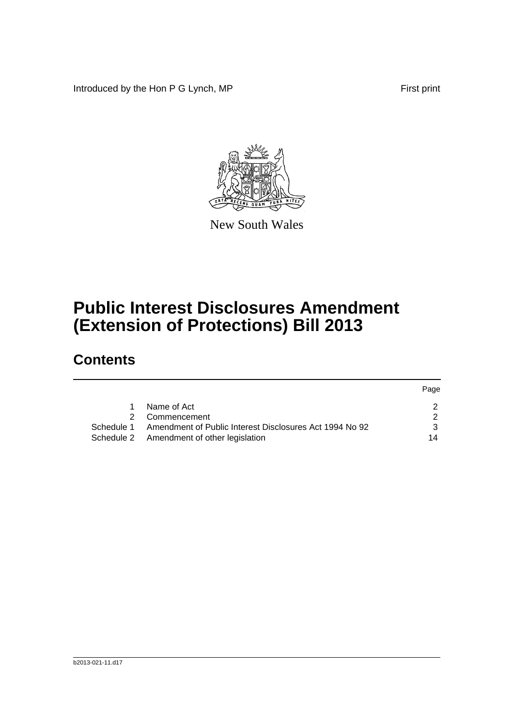Introduced by the Hon P G Lynch, MP First print

Page



New South Wales

# **Public Interest Disclosures Amendment (Extension of Protections) Bill 2013**

# **Contents**

|    |                                                                    | raye |
|----|--------------------------------------------------------------------|------|
| 1. | Name of Act                                                        |      |
|    | 2 Commencement                                                     |      |
|    | Schedule 1 Amendment of Public Interest Disclosures Act 1994 No 92 |      |
|    | Schedule 2 Amendment of other legislation                          | 14   |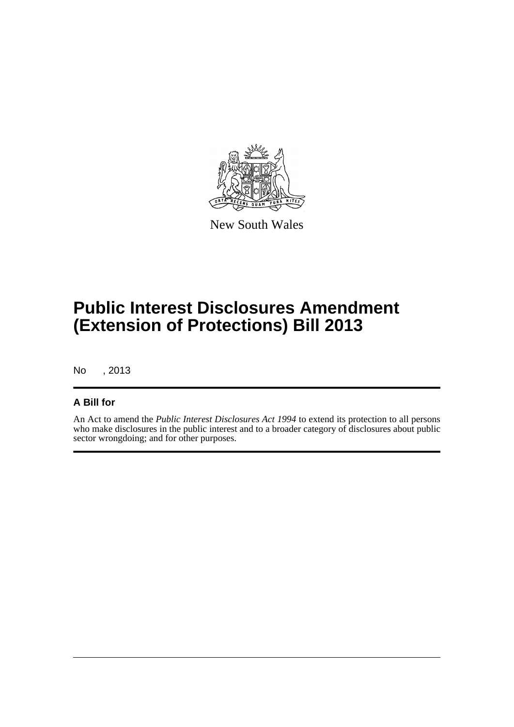

New South Wales

# **Public Interest Disclosures Amendment (Extension of Protections) Bill 2013**

No , 2013

## **A Bill for**

An Act to amend the *Public Interest Disclosures Act 1994* to extend its protection to all persons who make disclosures in the public interest and to a broader category of disclosures about public sector wrongdoing; and for other purposes.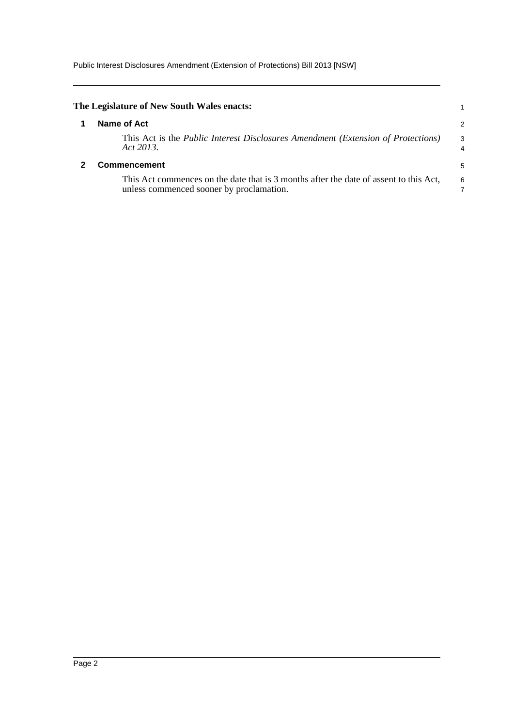<span id="page-7-1"></span><span id="page-7-0"></span>

| The Legislature of New South Wales enacts:                                                                                        |        |
|-----------------------------------------------------------------------------------------------------------------------------------|--------|
| Name of Act                                                                                                                       | 2      |
| This Act is the <i>Public Interest Disclosures Amendment (Extension of Protections)</i><br>Act 2013.                              | 3<br>4 |
| Commencement                                                                                                                      | 5      |
| This Act commences on the date that is 3 months after the date of assent to this Act,<br>unless commenced sooner by proclamation. | 6      |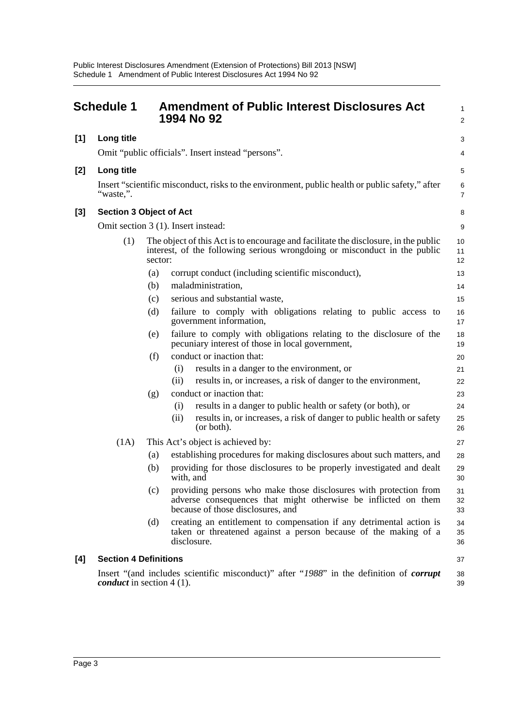<span id="page-8-0"></span>

|       | <b>Schedule 1</b>                |         | <b>Amendment of Public Interest Disclosures Act</b><br>1994 No 92                                                                                                        | 1<br>$\overline{\mathbf{c}}$ |
|-------|----------------------------------|---------|--------------------------------------------------------------------------------------------------------------------------------------------------------------------------|------------------------------|
| $[1]$ | Long title                       |         |                                                                                                                                                                          | 3                            |
|       |                                  |         | Omit "public officials". Insert instead "persons".                                                                                                                       | 4                            |
| [2]   | Long title                       |         |                                                                                                                                                                          | 5                            |
|       | "waste,".                        |         | Insert "scientific misconduct, risks to the environment, public health or public safety," after                                                                          | 6<br>7                       |
| [3]   | <b>Section 3 Object of Act</b>   |         |                                                                                                                                                                          | 8                            |
|       |                                  |         | Omit section 3 (1). Insert instead:                                                                                                                                      | 9                            |
|       | (1)                              | sector: | The object of this Act is to encourage and facilitate the disclosure, in the public<br>interest, of the following serious wrongdoing or misconduct in the public         | 10<br>11<br>12               |
|       |                                  | (a)     | corrupt conduct (including scientific misconduct),                                                                                                                       | 13                           |
|       |                                  | (b)     | maladministration,                                                                                                                                                       | 14                           |
|       |                                  | (c)     | serious and substantial waste,                                                                                                                                           | 15                           |
|       |                                  | (d)     | failure to comply with obligations relating to public access to<br>government information,                                                                               | 16<br>17                     |
|       |                                  | (e)     | failure to comply with obligations relating to the disclosure of the<br>pecuniary interest of those in local government,                                                 | 18<br>19                     |
|       |                                  | (f)     | conduct or inaction that:                                                                                                                                                | 20                           |
|       |                                  |         | (i)<br>results in a danger to the environment, or                                                                                                                        | 21                           |
|       |                                  |         | (ii)<br>results in, or increases, a risk of danger to the environment,                                                                                                   | 22                           |
|       |                                  | (g)     | conduct or inaction that:                                                                                                                                                | 23                           |
|       |                                  |         | results in a danger to public health or safety (or both), or<br>(i)<br>results in, or increases, a risk of danger to public health or safety<br>(ii)<br>(or both).       | 24<br>25<br>26               |
|       | (1A)                             |         | This Act's object is achieved by:                                                                                                                                        | 27                           |
|       |                                  | (a)     | establishing procedures for making disclosures about such matters, and                                                                                                   | 28                           |
|       |                                  | (b)     | providing for those disclosures to be properly investigated and dealt<br>with, and                                                                                       | 29<br>30                     |
|       |                                  | (c)     | providing persons who make those disclosures with protection from<br>adverse consequences that might otherwise be inflicted on them<br>because of those disclosures, and | 31<br>32<br>33               |
|       |                                  | (d)     | creating an entitlement to compensation if any detrimental action is<br>taken or threatened against a person because of the making of a<br>disclosure.                   | 34<br>35<br>36               |
| [4]   | <b>Section 4 Definitions</b>     |         |                                                                                                                                                                          | 37                           |
|       | <i>conduct</i> in section 4 (1). |         | Insert "(and includes scientific misconduct)" after "1988" in the definition of <i>corrupt</i>                                                                           | 38<br>39                     |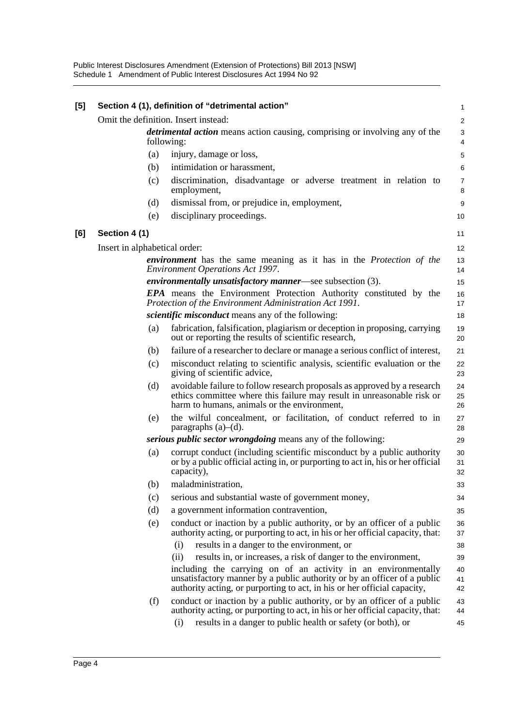| [5] |                               | Section 4 (1), definition of "detrimental action"                                                                                                                                                                                | 1                       |
|-----|-------------------------------|----------------------------------------------------------------------------------------------------------------------------------------------------------------------------------------------------------------------------------|-------------------------|
|     |                               | Omit the definition. Insert instead:                                                                                                                                                                                             | $\overline{\mathbf{c}}$ |
|     |                               | <i>detrimental action</i> means action causing, comprising or involving any of the<br>following:                                                                                                                                 | 3<br>4                  |
|     | (a)                           | injury, damage or loss,                                                                                                                                                                                                          | 5                       |
|     | (b)                           | intimidation or harassment,                                                                                                                                                                                                      | 6                       |
|     | (c)                           | discrimination, disadvantage or adverse treatment in relation to<br>employment,                                                                                                                                                  | $\overline{7}$<br>8     |
|     | (d)                           | dismissal from, or prejudice in, employment,                                                                                                                                                                                     | 9                       |
|     | (e)                           | disciplinary proceedings.                                                                                                                                                                                                        | 10                      |
| [6] | Section 4 (1)                 |                                                                                                                                                                                                                                  | 11                      |
|     | Insert in alphabetical order: |                                                                                                                                                                                                                                  | 12                      |
|     |                               | <i>environment</i> has the same meaning as it has in the <i>Protection of the</i><br><b>Environment Operations Act 1997.</b>                                                                                                     | 13<br>14                |
|     |                               | <i>environmentally unsatisfactory manner</i> —see subsection (3).                                                                                                                                                                | 15                      |
|     |                               | <b>EPA</b> means the Environment Protection Authority constituted by the<br>Protection of the Environment Administration Act 1991.                                                                                               | 16<br>17                |
|     |                               | <i>scientific misconduct</i> means any of the following:                                                                                                                                                                         | 18                      |
|     | (a)                           | fabrication, falsification, plagiarism or deception in proposing, carrying<br>out or reporting the results of scientific research,                                                                                               | 19<br>20                |
|     | (b)                           | failure of a researcher to declare or manage a serious conflict of interest,                                                                                                                                                     | 21                      |
|     | (c)                           | misconduct relating to scientific analysis, scientific evaluation or the<br>giving of scientific advice,                                                                                                                         | 22<br>23                |
|     | (d)                           | avoidable failure to follow research proposals as approved by a research<br>ethics committee where this failure may result in unreasonable risk or<br>harm to humans, animals or the environment,                                | 24<br>25<br>26          |
|     | (e)                           | the wilful concealment, or facilitation, of conduct referred to in<br>paragraphs $(a)$ – $(d)$ .                                                                                                                                 | 27<br>28                |
|     |                               | serious <i>public sector wrongdoing</i> means any of the following:                                                                                                                                                              | 29                      |
|     | (a)                           | corrupt conduct (including scientific misconduct by a public authority<br>or by a public official acting in, or purporting to act in, his or her official<br>capacity),                                                          | 30<br>31<br>32          |
|     | (b)                           | maladministration                                                                                                                                                                                                                | 33                      |
|     | (c)                           | serious and substantial waste of government money,                                                                                                                                                                               | 34                      |
|     | (d)                           | a government information contravention,                                                                                                                                                                                          | 35                      |
|     | (e)                           | conduct or inaction by a public authority, or by an officer of a public<br>authority acting, or purporting to act, in his or her official capacity, that:                                                                        | 36<br>37                |
|     |                               | (i)<br>results in a danger to the environment, or                                                                                                                                                                                | 38                      |
|     |                               | results in, or increases, a risk of danger to the environment,<br>(ii)                                                                                                                                                           | 39                      |
|     |                               | including the carrying on of an activity in an environmentally<br>unsatisfactory manner by a public authority or by an officer of a public<br>authority acting, or purporting to act, in his or her official capacity,           | 40<br>41<br>42          |
|     | (f)                           | conduct or inaction by a public authority, or by an officer of a public<br>authority acting, or purporting to act, in his or her official capacity, that:<br>results in a danger to public health or safety (or both), or<br>(i) | 43<br>44<br>45          |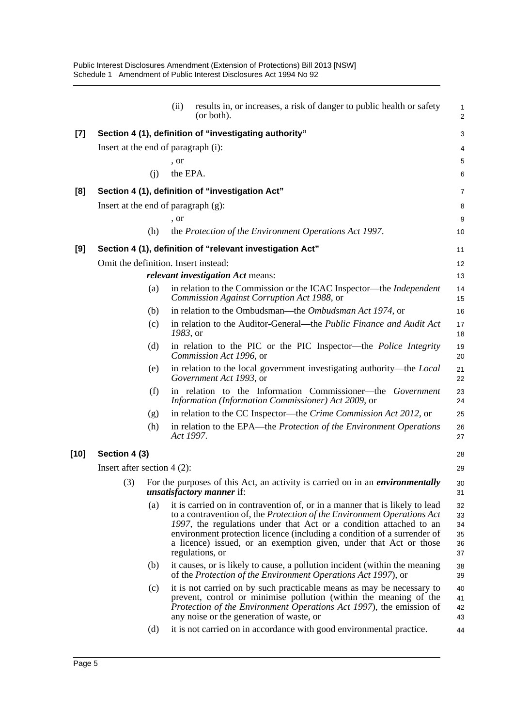|       |                               | results in, or increases, a risk of danger to public health or safety<br>(ii)<br>(or both).                                                                                                                                                                                                                                                                                                     | $\mathbf{1}$<br>$\overline{2}$   |
|-------|-------------------------------|-------------------------------------------------------------------------------------------------------------------------------------------------------------------------------------------------------------------------------------------------------------------------------------------------------------------------------------------------------------------------------------------------|----------------------------------|
| $[7]$ |                               | Section 4 (1), definition of "investigating authority"                                                                                                                                                                                                                                                                                                                                          | 3                                |
|       |                               | Insert at the end of paragraph (i):                                                                                                                                                                                                                                                                                                                                                             | 4                                |
|       |                               | , or                                                                                                                                                                                                                                                                                                                                                                                            | 5                                |
|       | (i)                           | the EPA.                                                                                                                                                                                                                                                                                                                                                                                        | 6                                |
| [8]   |                               | Section 4 (1), definition of "investigation Act"                                                                                                                                                                                                                                                                                                                                                | 7                                |
|       |                               | Insert at the end of paragraph $(g)$ :                                                                                                                                                                                                                                                                                                                                                          | 8                                |
|       |                               | , or                                                                                                                                                                                                                                                                                                                                                                                            | 9                                |
|       | (h)                           | the Protection of the Environment Operations Act 1997.                                                                                                                                                                                                                                                                                                                                          | 10                               |
| [9]   |                               | Section 4 (1), definition of "relevant investigation Act"                                                                                                                                                                                                                                                                                                                                       | 11                               |
|       |                               | Omit the definition. Insert instead:                                                                                                                                                                                                                                                                                                                                                            | 12                               |
|       |                               | relevant investigation Act means:                                                                                                                                                                                                                                                                                                                                                               | 13                               |
|       | (a)                           | in relation to the Commission or the ICAC Inspector—the <i>Independent</i><br>Commission Against Corruption Act 1988, or                                                                                                                                                                                                                                                                        | 14<br>15                         |
|       | (b)                           | in relation to the Ombudsman—the Ombudsman Act 1974, or                                                                                                                                                                                                                                                                                                                                         | 16                               |
|       | (c)                           | in relation to the Auditor-General—the Public Finance and Audit Act<br>1983, or                                                                                                                                                                                                                                                                                                                 | 17<br>18                         |
|       | (d)                           | in relation to the PIC or the PIC Inspector—the Police Integrity<br>Commission Act 1996, or                                                                                                                                                                                                                                                                                                     | 19<br>20                         |
|       | (e)                           | in relation to the local government investigating authority—the Local<br>Government Act 1993, or                                                                                                                                                                                                                                                                                                | 21<br>22                         |
|       | (f)                           | in relation to the Information Commissioner—the Government<br>Information (Information Commissioner) Act 2009, or                                                                                                                                                                                                                                                                               | 23<br>24                         |
|       | (g)                           | in relation to the CC Inspector—the Crime Commission Act 2012, or                                                                                                                                                                                                                                                                                                                               | 25                               |
|       | (h)                           | in relation to the EPA—the Protection of the Environment Operations<br>Act 1997.                                                                                                                                                                                                                                                                                                                | 26<br>27                         |
| [10]  | Section 4 (3)                 |                                                                                                                                                                                                                                                                                                                                                                                                 | 28                               |
|       | Insert after section $4(2)$ : |                                                                                                                                                                                                                                                                                                                                                                                                 | 29                               |
|       | (3)                           | For the purposes of this Act, an activity is carried on in an <i>environmentally</i><br><i>unsatisfactory manner</i> if:                                                                                                                                                                                                                                                                        | 30<br>31                         |
|       | (a)                           | it is carried on in contravention of, or in a manner that is likely to lead<br>to a contravention of, the Protection of the Environment Operations Act<br>1997, the regulations under that Act or a condition attached to an<br>environment protection licence (including a condition of a surrender of<br>a licence) issued, or an exemption given, under that Act or those<br>regulations, or | 32<br>33<br>34<br>35<br>36<br>37 |
|       | (b)                           | it causes, or is likely to cause, a pollution incident (within the meaning<br>of the Protection of the Environment Operations Act 1997), or                                                                                                                                                                                                                                                     | 38<br>39                         |
|       | (c)                           | it is not carried on by such practicable means as may be necessary to<br>prevent, control or minimise pollution (within the meaning of the<br><i>Protection of the Environment Operations Act 1997</i> ), the emission of<br>any noise or the generation of waste, or                                                                                                                           | 40<br>41<br>42<br>43             |
|       | (d)                           | it is not carried on in accordance with good environmental practice.                                                                                                                                                                                                                                                                                                                            | 44                               |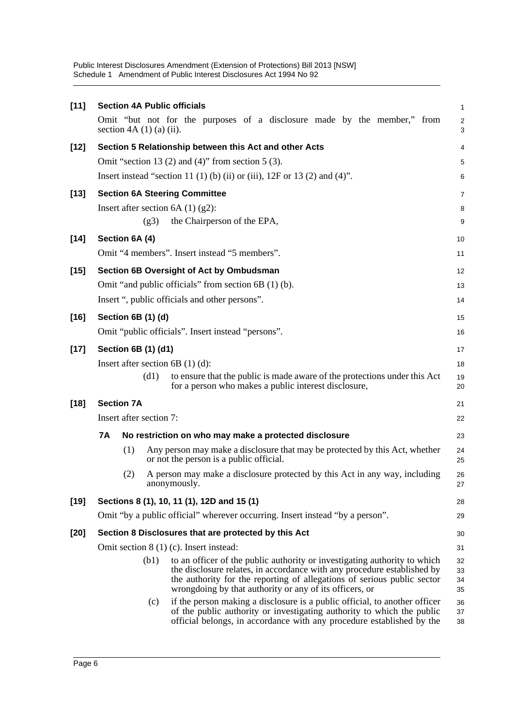**[11] Section 4A Public officials** Omit "but not for the purposes of a disclosure made by the member," from section  $4A(1)(a)(ii)$ . **[12] Section 5 Relationship between this Act and other Acts** Omit "section 13 (2) and (4)" from section 5 (3). Insert instead "section 11 (1) (b) (ii) or (iii),  $12F$  or 13 (2) and (4)". **[13] Section 6A Steering Committee** Insert after section  $6A(1)(2)$ : (g3) the Chairperson of the EPA, **[14] Section 6A (4)** Omit "4 members". Insert instead "5 members". **[15] Section 6B Oversight of Act by Ombudsman** Omit "and public officials" from section 6B (1) (b). Insert ", public officials and other persons". **[16] Section 6B (1) (d)** Omit "public officials". Insert instead "persons". **[17] Section 6B (1) (d1)** Insert after section 6B (1) (d): (d1) to ensure that the public is made aware of the protections under this Act for a person who makes a public interest disclosure, **[18] Section 7A** Insert after section 7: **7A No restriction on who may make a protected disclosure** (1) Any person may make a disclosure that may be protected by this Act, whether or not the person is a public official. (2) A person may make a disclosure protected by this Act in any way, including anonymously. **[19] Sections 8 (1), 10, 11 (1), 12D and 15 (1)** Omit "by a public official" wherever occurring. Insert instead "by a person". **[20] Section 8 Disclosures that are protected by this Act** Omit section 8 (1) (c). Insert instead: (b1) to an officer of the public authority or investigating authority to which the disclosure relates, in accordance with any procedure established by the authority for the reporting of allegations of serious public sector wrongdoing by that authority or any of its officers, or (c) if the person making a disclosure is a public official, to another officer of the public authority or investigating authority to which the public official belongs, in accordance with any procedure established by the 1  $\mathfrak{p}$ 3 4 5 6 7 8 9 10 11 12 13 14 15 16 17 18 19 20 21 22 23 24 25 26 27 28 29 30 31 32 33 34 35 36 37 38

Public Interest Disclosures Amendment (Extension of Protections) Bill 2013 [NSW]

Schedule 1 Amendment of Public Interest Disclosures Act 1994 No 92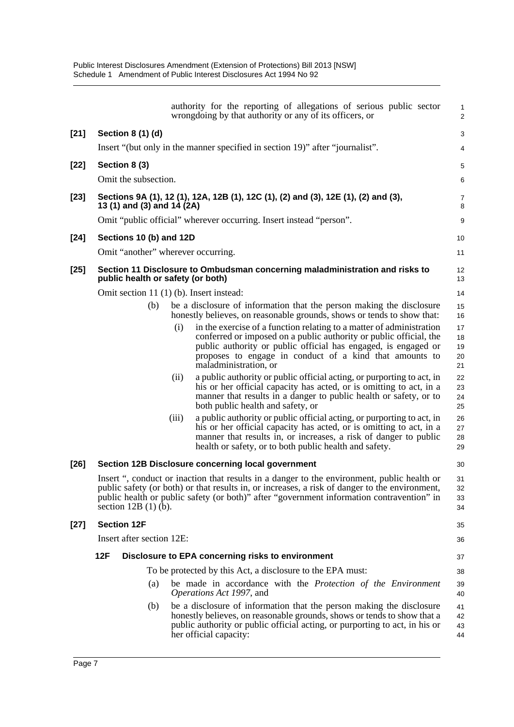|        |     |                                    |       | authority for the reporting of allegations of serious public sector<br>wrongdoing by that authority or any of its officers, or                                                                                                                                                                   | $\mathbf{1}$<br>2          |
|--------|-----|------------------------------------|-------|--------------------------------------------------------------------------------------------------------------------------------------------------------------------------------------------------------------------------------------------------------------------------------------------------|----------------------------|
| $[21]$ |     | Section 8 (1) (d)                  |       |                                                                                                                                                                                                                                                                                                  | 3                          |
|        |     |                                    |       | Insert "(but only in the manner specified in section 19)" after "journalist".                                                                                                                                                                                                                    | $\overline{4}$             |
| $[22]$ |     | Section 8 (3)                      |       |                                                                                                                                                                                                                                                                                                  | $\mathbf 5$                |
|        |     | Omit the subsection.               |       |                                                                                                                                                                                                                                                                                                  | $\,6$                      |
| $[23]$ |     | 13 (1) and (3) and 14 (2A)         |       | Sections 9A (1), 12 (1), 12A, 12B (1), 12C (1), (2) and (3), 12E (1), (2) and (3),                                                                                                                                                                                                               | 7<br>8                     |
|        |     |                                    |       | Omit "public official" wherever occurring. Insert instead "person".                                                                                                                                                                                                                              | $\boldsymbol{9}$           |
| $[24]$ |     | Sections 10 (b) and 12D            |       |                                                                                                                                                                                                                                                                                                  | 10                         |
|        |     | Omit "another" wherever occurring. |       |                                                                                                                                                                                                                                                                                                  | 11                         |
| $[25]$ |     | public health or safety (or both)  |       | Section 11 Disclosure to Ombudsman concerning maladministration and risks to                                                                                                                                                                                                                     | 12<br>13                   |
|        |     |                                    |       | Omit section 11 (1) (b). Insert instead:                                                                                                                                                                                                                                                         | 14                         |
|        |     | (b)                                |       | be a disclosure of information that the person making the disclosure<br>honestly believes, on reasonable grounds, shows or tends to show that:                                                                                                                                                   | 15<br>16                   |
|        |     |                                    | (i)   | in the exercise of a function relating to a matter of administration<br>conferred or imposed on a public authority or public official, the<br>public authority or public official has engaged, is engaged or<br>proposes to engage in conduct of a kind that amounts to<br>maladministration, or | 17<br>18<br>19<br>20<br>21 |
|        |     |                                    | (ii)  | a public authority or public official acting, or purporting to act, in<br>his or her official capacity has acted, or is omitting to act, in a<br>manner that results in a danger to public health or safety, or to<br>both public health and safety, or                                          | 22<br>23<br>24<br>25       |
|        |     |                                    | (iii) | a public authority or public official acting, or purporting to act, in<br>his or her official capacity has acted, or is omitting to act, in a<br>manner that results in, or increases, a risk of danger to public<br>health or safety, or to both public health and safety.                      | 26<br>27<br>28<br>29       |
| $[26]$ |     |                                    |       | Section 12B Disclosure concerning local government                                                                                                                                                                                                                                               | 30                         |
|        |     | section $12B(1)$ (b).              |       | Insert ", conduct or inaction that results in a danger to the environment, public health or<br>public safety (or both) or that results in, or increases, a risk of danger to the environment,<br>public health or public safety (or both)" after "government information contravention" in       | 31<br>32<br>33<br>34       |
| $[27]$ |     | <b>Section 12F</b>                 |       |                                                                                                                                                                                                                                                                                                  | 35                         |
|        |     | Insert after section 12E:          |       |                                                                                                                                                                                                                                                                                                  | 36                         |
|        | 12F |                                    |       | Disclosure to EPA concerning risks to environment                                                                                                                                                                                                                                                | 37                         |
|        |     |                                    |       | To be protected by this Act, a disclosure to the EPA must:                                                                                                                                                                                                                                       | 38                         |
|        |     | (a)                                |       | be made in accordance with the Protection of the Environment<br>Operations Act 1997, and                                                                                                                                                                                                         | 39<br>40                   |
|        |     | (b)                                |       | be a disclosure of information that the person making the disclosure<br>honestly believes, on reasonable grounds, shows or tends to show that a<br>public authority or public official acting, or purporting to act, in his or<br>her official capacity:                                         | 41<br>42<br>43<br>44       |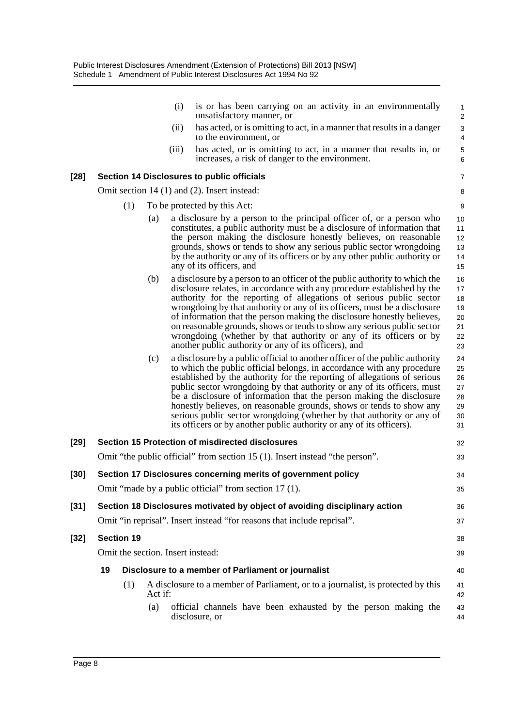|        |                                   |         | is or has been carrying on an activity in an environmentally<br>(i)<br>unsatisfactory manner, or                                                                                                                                                                                                                                                                                                                                                                                                                                                                                                               | 1<br>$\overline{c}$                          |
|--------|-----------------------------------|---------|----------------------------------------------------------------------------------------------------------------------------------------------------------------------------------------------------------------------------------------------------------------------------------------------------------------------------------------------------------------------------------------------------------------------------------------------------------------------------------------------------------------------------------------------------------------------------------------------------------------|----------------------------------------------|
|        |                                   |         | has acted, or is omitting to act, in a manner that results in a danger<br>(ii)<br>to the environment, or                                                                                                                                                                                                                                                                                                                                                                                                                                                                                                       | $\ensuremath{\mathsf{3}}$<br>$\overline{4}$  |
|        |                                   | (iii)   | has acted, or is omitting to act, in a manner that results in, or<br>increases, a risk of danger to the environment.                                                                                                                                                                                                                                                                                                                                                                                                                                                                                           | $\mathbf 5$<br>$\,6$                         |
| [28]   |                                   |         | <b>Section 14 Disclosures to public officials</b>                                                                                                                                                                                                                                                                                                                                                                                                                                                                                                                                                              | $\overline{7}$                               |
|        |                                   |         | Omit section 14 (1) and (2). Insert instead:                                                                                                                                                                                                                                                                                                                                                                                                                                                                                                                                                                   | 8                                            |
|        | (1)                               |         | To be protected by this Act:                                                                                                                                                                                                                                                                                                                                                                                                                                                                                                                                                                                   | 9                                            |
|        |                                   | (a)     | a disclosure by a person to the principal officer of, or a person who<br>constitutes, a public authority must be a disclosure of information that<br>the person making the disclosure honestly believes, on reasonable<br>grounds, shows or tends to show any serious public sector wrongdoing<br>by the authority or any of its officers or by any other public authority or<br>any of its officers, and                                                                                                                                                                                                      | 10<br>11<br>12<br>13<br>14<br>15             |
|        |                                   | (b)     | a disclosure by a person to an officer of the public authority to which the<br>disclosure relates, in accordance with any procedure established by the<br>authority for the reporting of allegations of serious public sector<br>wrongdoing by that authority or any of its officers, must be a disclosure<br>of information that the person making the disclosure honestly believes,<br>on reasonable grounds, shows or tends to show any serious public sector<br>wrongdoing (whether by that authority or any of its officers or by<br>another public authority or any of its officers), and                | 16<br>17<br>18<br>19<br>20<br>21<br>22<br>23 |
|        |                                   | (c)     | a disclosure by a public official to another officer of the public authority<br>to which the public official belongs, in accordance with any procedure<br>established by the authority for the reporting of allegations of serious<br>public sector wrongdoing by that authority or any of its officers, must<br>be a disclosure of information that the person making the disclosure<br>honestly believes, on reasonable grounds, shows or tends to show any<br>serious public sector wrongdoing (whether by that authority or any of<br>its officers or by another public authority or any of its officers). | 24<br>25<br>26<br>27<br>28<br>29<br>30<br>31 |
| [29]   |                                   |         | <b>Section 15 Protection of misdirected disclosures</b>                                                                                                                                                                                                                                                                                                                                                                                                                                                                                                                                                        | 32                                           |
|        |                                   |         | Omit "the public official" from section 15 (1). Insert instead "the person".                                                                                                                                                                                                                                                                                                                                                                                                                                                                                                                                   | 33                                           |
| [30]   |                                   |         | Section 17 Disclosures concerning merits of government policy                                                                                                                                                                                                                                                                                                                                                                                                                                                                                                                                                  | 34                                           |
|        |                                   |         | Omit "made by a public official" from section 17 (1).                                                                                                                                                                                                                                                                                                                                                                                                                                                                                                                                                          | 35                                           |
| $[31]$ |                                   |         | Section 18 Disclosures motivated by object of avoiding disciplinary action                                                                                                                                                                                                                                                                                                                                                                                                                                                                                                                                     | 36                                           |
|        |                                   |         | Omit "in reprisal". Insert instead "for reasons that include reprisal".                                                                                                                                                                                                                                                                                                                                                                                                                                                                                                                                        | 37                                           |
| [32]   | <b>Section 19</b>                 |         |                                                                                                                                                                                                                                                                                                                                                                                                                                                                                                                                                                                                                | 38                                           |
|        | Omit the section. Insert instead: |         |                                                                                                                                                                                                                                                                                                                                                                                                                                                                                                                                                                                                                | 39                                           |
|        | 19                                |         | Disclosure to a member of Parliament or journalist                                                                                                                                                                                                                                                                                                                                                                                                                                                                                                                                                             |                                              |
|        | (1)                               |         | A disclosure to a member of Parliament, or to a journalist, is protected by this                                                                                                                                                                                                                                                                                                                                                                                                                                                                                                                               | 40<br>41                                     |
|        |                                   | Act if: |                                                                                                                                                                                                                                                                                                                                                                                                                                                                                                                                                                                                                | 42                                           |
|        |                                   | (a)     | official channels have been exhausted by the person making the<br>disclosure, or                                                                                                                                                                                                                                                                                                                                                                                                                                                                                                                               | 43<br>44                                     |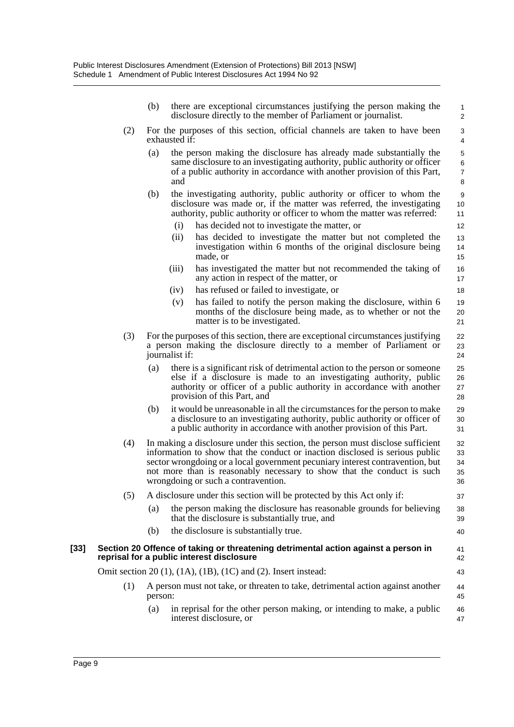| (b) | there are exceptional circumstances justifying the person making the |  |
|-----|----------------------------------------------------------------------|--|
|     | disclosure directly to the member of Parliament or journalist.       |  |

37

40

41 42 43

46 47

- (2) For the purposes of this section, official channels are taken to have been exhausted if:
	- (a) the person making the disclosure has already made substantially the same disclosure to an investigating authority, public authority or officer of a public authority in accordance with another provision of this Part, and
	- (b) the investigating authority, public authority or officer to whom the disclosure was made or, if the matter was referred, the investigating authority, public authority or officer to whom the matter was referred:
		- (i) has decided not to investigate the matter, or
		- (ii) has decided to investigate the matter but not completed the investigation within 6 months of the original disclosure being made, or
		- (iii) has investigated the matter but not recommended the taking of any action in respect of the matter, or
		- (iv) has refused or failed to investigate, or
		- (v) has failed to notify the person making the disclosure, within 6 months of the disclosure being made, as to whether or not the matter is to be investigated.
- (3) For the purposes of this section, there are exceptional circumstances justifying a person making the disclosure directly to a member of Parliament or journalist if:
	- (a) there is a significant risk of detrimental action to the person or someone else if a disclosure is made to an investigating authority, public authority or officer of a public authority in accordance with another provision of this Part, and
	- (b) it would be unreasonable in all the circumstances for the person to make a disclosure to an investigating authority, public authority or officer of a public authority in accordance with another provision of this Part.
- (4) In making a disclosure under this section, the person must disclose sufficient information to show that the conduct or inaction disclosed is serious public sector wrongdoing or a local government pecuniary interest contravention, but not more than is reasonably necessary to show that the conduct is such wrongdoing or such a contravention. 32 33 34 35 36

#### (5) A disclosure under this section will be protected by this Act only if:

- (a) the person making the disclosure has reasonable grounds for believing that the disclosure is substantially true, and 38 39
- (b) the disclosure is substantially true.
- **[33] Section 20 Offence of taking or threatening detrimental action against a person in reprisal for a public interest disclosure**

Omit section 20 (1), (1A), (1B), (1C) and (2). Insert instead:

- (1) A person must not take, or threaten to take, detrimental action against another person: 44 45
	- (a) in reprisal for the other person making, or intending to make, a public interest disclosure, or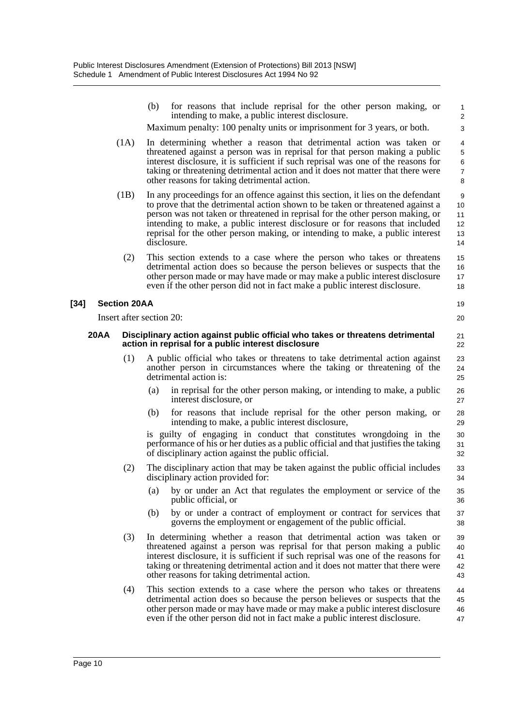|        |             |                     | for reasons that include reprisal for the other person making, or<br>(b)<br>intending to make, a public interest disclosure.<br>Maximum penalty: 100 penalty units or imprisonment for 3 years, or both.                                                                                                                                                                                                                             | $\mathbf{1}$<br>2<br>3                         |
|--------|-------------|---------------------|--------------------------------------------------------------------------------------------------------------------------------------------------------------------------------------------------------------------------------------------------------------------------------------------------------------------------------------------------------------------------------------------------------------------------------------|------------------------------------------------|
|        |             | (1A)                | In determining whether a reason that detrimental action was taken or<br>threatened against a person was in reprisal for that person making a public<br>interest disclosure, it is sufficient if such reprisal was one of the reasons for<br>taking or threatening detrimental action and it does not matter that there were<br>other reasons for taking detrimental action.                                                          | 4<br>$\mathbf 5$<br>6<br>$\boldsymbol{7}$<br>8 |
|        |             | (1B)                | In any proceedings for an offence against this section, it lies on the defendant<br>to prove that the detrimental action shown to be taken or threatened against a<br>person was not taken or threatened in reprisal for the other person making, or<br>intending to make, a public interest disclosure or for reasons that included<br>reprisal for the other person making, or intending to make, a public interest<br>disclosure. | $\boldsymbol{9}$<br>10<br>11<br>12<br>13<br>14 |
|        |             | (2)                 | This section extends to a case where the person who takes or threatens<br>detrimental action does so because the person believes or suspects that the<br>other person made or may have made or may make a public interest disclosure<br>even if the other person did not in fact make a public interest disclosure.                                                                                                                  | 15<br>16<br>17<br>18                           |
| $[34]$ |             | <b>Section 20AA</b> |                                                                                                                                                                                                                                                                                                                                                                                                                                      | 19                                             |
|        |             |                     | Insert after section 20:                                                                                                                                                                                                                                                                                                                                                                                                             | 20                                             |
|        | <b>20AA</b> |                     | Disciplinary action against public official who takes or threatens detrimental<br>action in reprisal for a public interest disclosure                                                                                                                                                                                                                                                                                                | 21<br>22                                       |
|        |             | (1)                 | A public official who takes or threatens to take detrimental action against<br>another person in circumstances where the taking or threatening of the<br>detrimental action is:                                                                                                                                                                                                                                                      | 23<br>24<br>25                                 |
|        |             |                     | in reprisal for the other person making, or intending to make, a public<br>(a)<br>interest disclosure, or                                                                                                                                                                                                                                                                                                                            | 26<br>27                                       |
|        |             |                     | for reasons that include reprisal for the other person making, or<br>(b)<br>intending to make, a public interest disclosure,                                                                                                                                                                                                                                                                                                         | 28<br>29                                       |
|        |             |                     | is guilty of engaging in conduct that constitutes wrongdoing in the<br>performance of his or her duties as a public official and that justifies the taking<br>of disciplinary action against the public official.                                                                                                                                                                                                                    | 30<br>31<br>32                                 |
|        |             | (2)                 | The disciplinary action that may be taken against the public official includes<br>disciplinary action provided for:                                                                                                                                                                                                                                                                                                                  | 33<br>34                                       |
|        |             |                     | (a) by or under an Act that regulates the employment or service of the<br>public official, or                                                                                                                                                                                                                                                                                                                                        | 35<br>36                                       |
|        |             |                     | (b)<br>by or under a contract of employment or contract for services that<br>governs the employment or engagement of the public official.                                                                                                                                                                                                                                                                                            | 37<br>38                                       |
|        |             | (3)                 | In determining whether a reason that detrimental action was taken or<br>threatened against a person was reprisal for that person making a public<br>interest disclosure, it is sufficient if such reprisal was one of the reasons for<br>taking or threatening detrimental action and it does not matter that there were<br>other reasons for taking detrimental action.                                                             | 39<br>40<br>41<br>42<br>43                     |
|        |             | (4)                 | This section extends to a case where the person who takes or threatens<br>detrimental action does so because the person believes or suspects that the<br>other person made or may have made or may make a public interest disclosure<br>even if the other person did not in fact make a public interest disclosure.                                                                                                                  | 44<br>45<br>46<br>47                           |
|        |             |                     |                                                                                                                                                                                                                                                                                                                                                                                                                                      |                                                |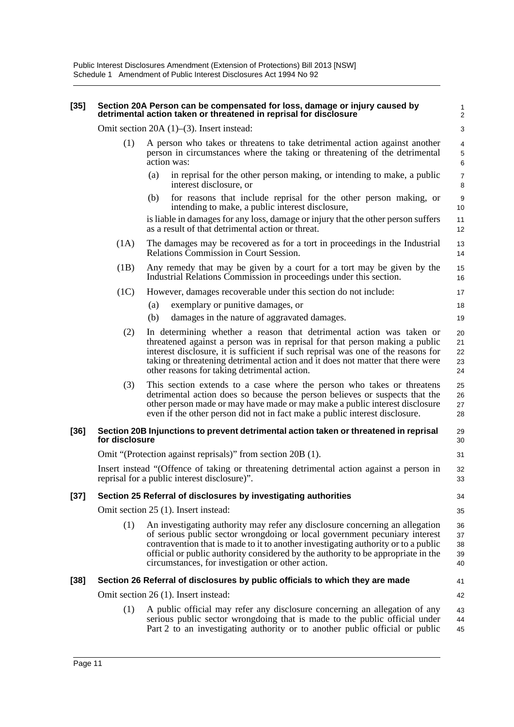#### **[35] Section 20A Person can be compensated for loss, damage or injury caused by detrimental action taken or threatened in reprisal for disclosure**

1 2  $\overline{\mathbf{a}}$ 

22 23 24

34 35

Omit section 20A (1)–(3). Insert instead:

- (1) A person who takes or threatens to take detrimental action against another person in circumstances where the taking or threatening of the detrimental action was:
	- (a) in reprisal for the other person making, or intending to make, a public interest disclosure, or
	- (b) for reasons that include reprisal for the other person making, or intending to make, a public interest disclosure,

is liable in damages for any loss, damage or injury that the other person suffers as a result of that detrimental action or threat.

- (1A) The damages may be recovered as for a tort in proceedings in the Industrial Relations Commission in Court Session.
- (1B) Any remedy that may be given by a court for a tort may be given by the Industrial Relations Commission in proceedings under this section.
- (1C) However, damages recoverable under this section do not include:
	- (a) exemplary or punitive damages, or
	- (b) damages in the nature of aggravated damages.
	- (2) In determining whether a reason that detrimental action was taken or threatened against a person was in reprisal for that person making a public interest disclosure, it is sufficient if such reprisal was one of the reasons for taking or threatening detrimental action and it does not matter that there were other reasons for taking detrimental action. 21
	- (3) This section extends to a case where the person who takes or threatens detrimental action does so because the person believes or suspects that the other person made or may have made or may make a public interest disclosure even if the other person did not in fact make a public interest disclosure. 25 26 27 28

#### **[36] Section 20B Injunctions to prevent detrimental action taken or threatened in reprisal for disclosure**

Omit "(Protection against reprisals)" from section 20B (1).

Insert instead "(Offence of taking or threatening detrimental action against a person in reprisal for a public interest disclosure)".

#### **[37] Section 25 Referral of disclosures by investigating authorities**

Omit section 25 (1). Insert instead:

Omit section 26 (1). Insert instead:

(1) An investigating authority may refer any disclosure concerning an allegation of serious public sector wrongdoing or local government pecuniary interest contravention that is made to it to another investigating authority or to a public official or public authority considered by the authority to be appropriate in the circumstances, for investigation or other action. 36 37 38 39 40

Part 2 to an investigating authority or to another public official or public

#### **[38] Section 26 Referral of disclosures by public officials to which they are made**

42

41

43 44 45

(1) A public official may refer any disclosure concerning an allegation of any serious public sector wrongdoing that is made to the public official under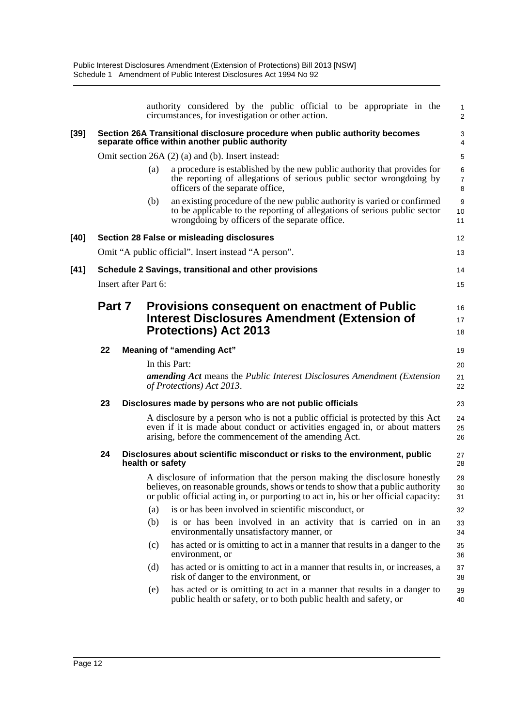|        |        |                      | authority considered by the public official to be appropriate in the<br>circumstances, for investigation or other action.                                                                                                                             | 1<br>$\overline{2}$      |
|--------|--------|----------------------|-------------------------------------------------------------------------------------------------------------------------------------------------------------------------------------------------------------------------------------------------------|--------------------------|
| [39]   |        |                      | Section 26A Transitional disclosure procedure when public authority becomes<br>separate office within another public authority                                                                                                                        | 3<br>4                   |
|        |        |                      | Omit section 26A (2) (a) and (b). Insert instead:                                                                                                                                                                                                     | 5                        |
|        |        | (a)                  | a procedure is established by the new public authority that provides for<br>the reporting of allegations of serious public sector wrongdoing by<br>officers of the separate office,                                                                   | 6<br>$\overline{7}$<br>8 |
|        |        | (b)                  | an existing procedure of the new public authority is varied or confirmed<br>to be applicable to the reporting of allegations of serious public sector<br>wrongdoing by officers of the separate office.                                               | 9<br>10<br>11            |
| [40]   |        |                      | Section 28 False or misleading disclosures                                                                                                                                                                                                            | 12                       |
|        |        |                      | Omit "A public official". Insert instead "A person".                                                                                                                                                                                                  | 13                       |
| $[41]$ |        |                      | Schedule 2 Savings, transitional and other provisions                                                                                                                                                                                                 | 14                       |
|        |        | Insert after Part 6: |                                                                                                                                                                                                                                                       | 15                       |
|        | Part 7 |                      | <b>Provisions consequent on enactment of Public</b><br>Interest Disclosures Amendment (Extension of<br><b>Protections) Act 2013</b>                                                                                                                   | 16<br>17<br>18           |
|        | 22     |                      | <b>Meaning of "amending Act"</b>                                                                                                                                                                                                                      | 19                       |
|        |        |                      | In this Part:<br>amending Act means the Public Interest Disclosures Amendment (Extension<br>of Protections) Act 2013.                                                                                                                                 | 20<br>21<br>22           |
|        | 23     |                      | Disclosures made by persons who are not public officials                                                                                                                                                                                              | 23                       |
|        |        |                      | A disclosure by a person who is not a public official is protected by this Act<br>even if it is made about conduct or activities engaged in, or about matters<br>arising, before the commencement of the amending Act.                                | 24<br>25<br>26           |
|        | 24     | health or safety     | Disclosures about scientific misconduct or risks to the environment, public                                                                                                                                                                           | 27<br>28                 |
|        |        |                      | A disclosure of information that the person making the disclosure honestly<br>believes, on reasonable grounds, shows or tends to show that a public authority<br>or public official acting in, or purporting to act in, his or her official capacity: | 29<br>30<br>31           |
|        |        | (a)                  | is or has been involved in scientific misconduct, or                                                                                                                                                                                                  | 32                       |
|        |        | (b)                  | is or has been involved in an activity that is carried on in an<br>environmentally unsatisfactory manner, or                                                                                                                                          | 33<br>34                 |
|        |        | (c)                  | has acted or is omitting to act in a manner that results in a danger to the<br>environment, or                                                                                                                                                        | 35<br>36                 |
|        |        | (d)                  | has acted or is omitting to act in a manner that results in, or increases, a<br>risk of danger to the environment, or                                                                                                                                 | 37<br>38                 |
|        |        | (e)                  | has acted or is omitting to act in a manner that results in a danger to<br>public health or safety, or to both public health and safety, or                                                                                                           | 39<br>40                 |
|        |        |                      |                                                                                                                                                                                                                                                       |                          |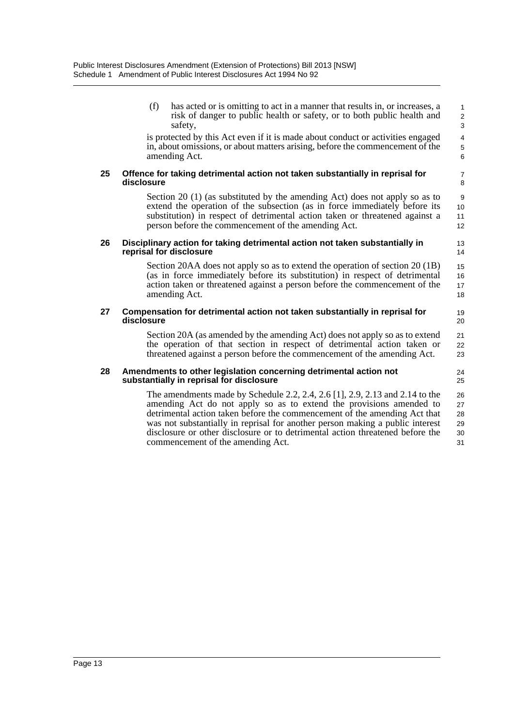commencement of the amending Act.

(f) has acted or is omitting to act in a manner that results in, or increases, a risk of danger to public health or safety, or to both public health and safety, is protected by this Act even if it is made about conduct or activities engaged in, about omissions, or about matters arising, before the commencement of the amending Act. **25 Offence for taking detrimental action not taken substantially in reprisal for disclosure** Section 20 (1) (as substituted by the amending Act) does not apply so as to extend the operation of the subsection (as in force immediately before its substitution) in respect of detrimental action taken or threatened against a person before the commencement of the amending Act. **26 Disciplinary action for taking detrimental action not taken substantially in reprisal for disclosure** Section 20AA does not apply so as to extend the operation of section 20 (1B) (as in force immediately before its substitution) in respect of detrimental action taken or threatened against a person before the commencement of the amending Act. **27 Compensation for detrimental action not taken substantially in reprisal for disclosure** Section 20A (as amended by the amending Act) does not apply so as to extend the operation of that section in respect of detrimental action taken or threatened against a person before the commencement of the amending Act. **28 Amendments to other legislation concerning detrimental action not substantially in reprisal for disclosure** The amendments made by Schedule 2.2, 2.4, 2.6 [1], 2.9, 2.13 and 2.14 to the amending Act do not apply so as to extend the provisions amended to detrimental action taken before the commencement of the amending Act that was not substantially in reprisal for another person making a public interest disclosure or other disclosure or to detrimental action threatened before the 10 11 12 13 14 15 16 17 18 19 20  $21$ 22 23 24 25 26 27 28 29 30

31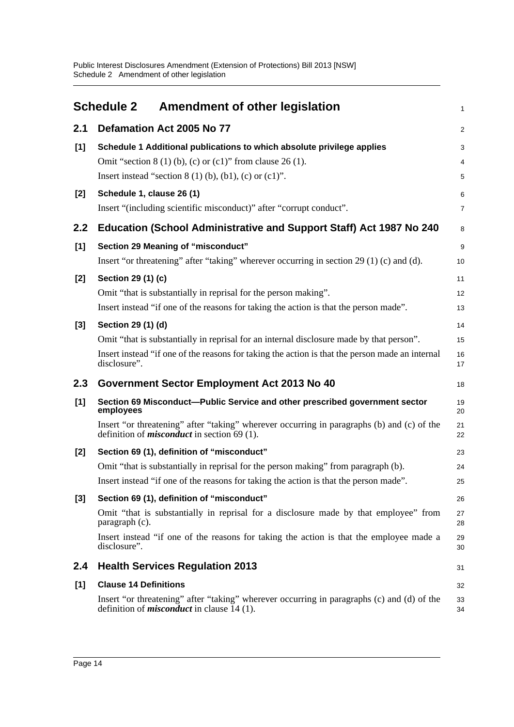<span id="page-19-0"></span>

|       | <b>Schedule 2</b><br><b>Amendment of other legislation</b>                                                                                        | 1              |
|-------|---------------------------------------------------------------------------------------------------------------------------------------------------|----------------|
| 2.1   | Defamation Act 2005 No 77                                                                                                                         | $\overline{a}$ |
| [1]   | Schedule 1 Additional publications to which absolute privilege applies                                                                            | 3              |
|       | Omit "section $8(1)$ (b), (c) or (c1)" from clause 26 (1).                                                                                        | 4              |
|       | Insert instead "section $8(1)(b)$ , $(b1)$ , $(c)$ or $(c1)$ ".                                                                                   | 5              |
| $[2]$ | Schedule 1, clause 26 (1)                                                                                                                         | 6              |
|       | Insert "(including scientific misconduct)" after "corrupt conduct".                                                                               | 7              |
| 2.2   | Education (School Administrative and Support Staff) Act 1987 No 240                                                                               | 8              |
| [1]   | Section 29 Meaning of "misconduct"                                                                                                                | 9              |
|       | Insert "or threatening" after "taking" wherever occurring in section 29 $(1)$ (c) and (d).                                                        | 10             |
| $[2]$ | Section 29 (1) (c)                                                                                                                                | 11             |
|       | Omit "that is substantially in reprisal for the person making".                                                                                   | 12             |
|       | Insert instead "if one of the reasons for taking the action is that the person made".                                                             | 13             |
| $[3]$ | Section 29 (1) (d)                                                                                                                                | 14             |
|       | Omit "that is substantially in reprisal for an internal disclosure made by that person".                                                          | 15             |
|       | Insert instead "if one of the reasons for taking the action is that the person made an internal<br>disclosure".                                   | 16<br>17       |
| 2.3   | Government Sector Employment Act 2013 No 40                                                                                                       | 18             |
| [1]   | Section 69 Misconduct-Public Service and other prescribed government sector<br>employees                                                          | 19<br>20       |
|       | Insert "or threatening" after "taking" wherever occurring in paragraphs (b) and (c) of the<br>definition of <i>misconduct</i> in section 69 (1).  | 21<br>22       |
| [2]   | Section 69 (1), definition of "misconduct"                                                                                                        | 23             |
|       | Omit "that is substantially in reprisal for the person making" from paragraph (b).                                                                | 24             |
|       | Insert instead "if one of the reasons for taking the action is that the person made".                                                             | 25             |
| $[3]$ | Section 69 (1), definition of "misconduct"                                                                                                        | 26             |
|       | Omit "that is substantially in reprisal for a disclosure made by that employee" from<br>paragraph (c).                                            | 27<br>28       |
|       | Insert instead "if one of the reasons for taking the action is that the employee made a<br>disclosure".                                           | 29<br>30       |
| 2.4   | <b>Health Services Regulation 2013</b>                                                                                                            | 31             |
| [1]   | <b>Clause 14 Definitions</b>                                                                                                                      | 32             |
|       | Insert "or threatening" after "taking" wherever occurring in paragraphs (c) and (d) of the<br>definition of <i>misconduct</i> in clause $14(1)$ . | 33<br>34       |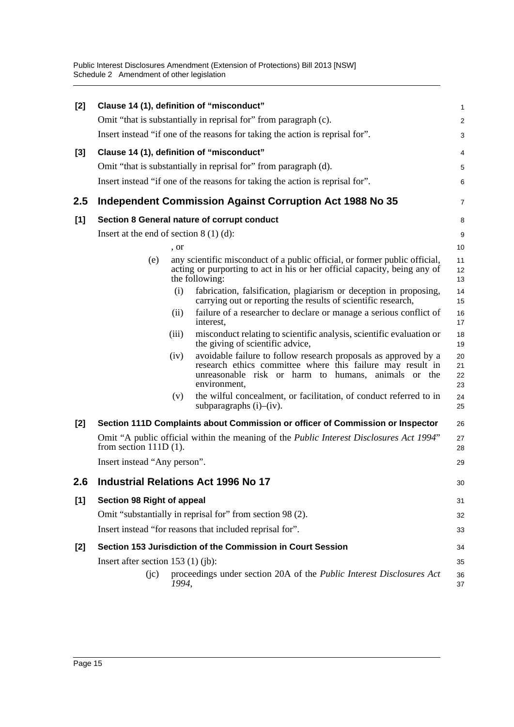Public Interest Disclosures Amendment (Extension of Protections) Bill 2013 [NSW] Schedule 2 Amendment of other legislation

| [2] |                                          | Clause 14 (1), definition of "misconduct"                                                                                                                                                                    | 1                    |
|-----|------------------------------------------|--------------------------------------------------------------------------------------------------------------------------------------------------------------------------------------------------------------|----------------------|
|     |                                          | Omit "that is substantially in reprisal for" from paragraph (c).                                                                                                                                             | $\overline{2}$       |
|     |                                          | Insert instead "if one of the reasons for taking the action is reprisal for".                                                                                                                                | 3                    |
| [3] |                                          | Clause 14 (1), definition of "misconduct"                                                                                                                                                                    | 4                    |
|     |                                          | Omit "that is substantially in reprisal for" from paragraph (d).                                                                                                                                             | 5                    |
|     |                                          | Insert instead "if one of the reasons for taking the action is reprisal for".                                                                                                                                | 6                    |
| 2.5 |                                          | <b>Independent Commission Against Corruption Act 1988 No 35</b>                                                                                                                                              | 7                    |
| [1] |                                          | Section 8 General nature of corrupt conduct                                                                                                                                                                  | 8                    |
|     | Insert at the end of section $8(1)(d)$ : |                                                                                                                                                                                                              | 9                    |
|     |                                          | , or                                                                                                                                                                                                         | 10                   |
|     | (e)                                      | any scientific misconduct of a public official, or former public official,<br>acting or purporting to act in his or her official capacity, being any of<br>the following:                                    | 11<br>12<br>13       |
|     |                                          | (i)<br>fabrication, falsification, plagiarism or deception in proposing,<br>carrying out or reporting the results of scientific research,                                                                    | 14<br>15             |
|     |                                          | failure of a researcher to declare or manage a serious conflict of<br>(ii)<br>interest,                                                                                                                      | 16<br>17             |
|     |                                          | misconduct relating to scientific analysis, scientific evaluation or<br>(iii)<br>the giving of scientific advice,                                                                                            | 18<br>19             |
|     |                                          | avoidable failure to follow research proposals as approved by a<br>(iv)<br>research ethics committee where this failure may result in<br>unreasonable risk or harm to humans, animals or the<br>environment, | 20<br>21<br>22<br>23 |
|     |                                          | the wilful concealment, or facilitation, of conduct referred to in<br>(v)<br>subparagraphs $(i)$ – $(iv)$ .                                                                                                  | 24<br>25             |
| [2] |                                          | Section 111D Complaints about Commission or officer of Commission or Inspector                                                                                                                               | 26                   |
|     | from section $111D(1)$ .                 | Omit "A public official within the meaning of the <i>Public Interest Disclosures Act 1994</i> "                                                                                                              | 27<br>28             |
|     | Insert instead "Any person".             |                                                                                                                                                                                                              | 29                   |
| 2.6 |                                          | <b>Industrial Relations Act 1996 No 17</b>                                                                                                                                                                   | 30                   |
| [1] | Section 98 Right of appeal               |                                                                                                                                                                                                              | 31                   |
|     |                                          | Omit "substantially in reprisal for" from section 98 (2).                                                                                                                                                    | 32                   |
|     |                                          | Insert instead "for reasons that included reprisal for".                                                                                                                                                     | 33                   |
| [2] |                                          | Section 153 Jurisdiction of the Commission in Court Session                                                                                                                                                  | 34                   |
|     | Insert after section $153$ (1) (jb):     |                                                                                                                                                                                                              | 35                   |
|     | (ic)                                     | proceedings under section 20A of the Public Interest Disclosures Act<br>1994,                                                                                                                                | 36<br>37             |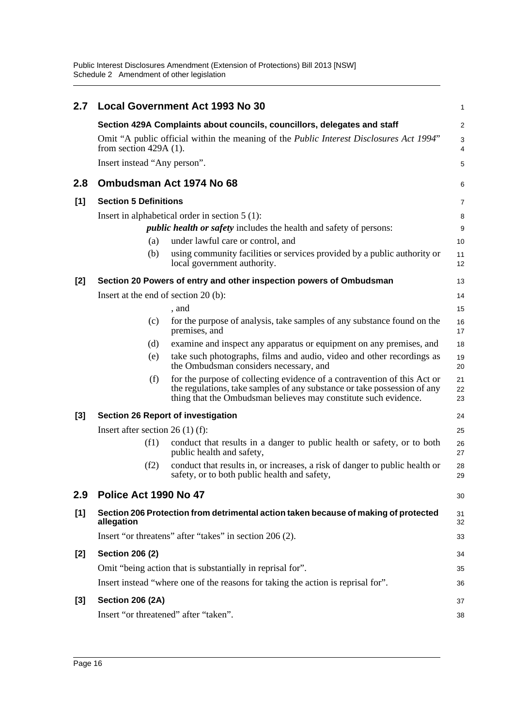Public Interest Disclosures Amendment (Extension of Protections) Bill 2013 [NSW] Schedule 2 Amendment of other legislation

| 2.7   |                                                                           | <b>Local Government Act 1993 No 30</b>                                                                                                                                                                                  | 1              |  |  |
|-------|---------------------------------------------------------------------------|-------------------------------------------------------------------------------------------------------------------------------------------------------------------------------------------------------------------------|----------------|--|--|
|       | Section 429A Complaints about councils, councillors, delegates and staff  |                                                                                                                                                                                                                         |                |  |  |
|       | from section $429A(1)$ .                                                  | Omit "A public official within the meaning of the <i>Public Interest Disclosures Act 1994</i> "                                                                                                                         | 3<br>4         |  |  |
|       | Insert instead "Any person".                                              |                                                                                                                                                                                                                         | 5              |  |  |
| 2.8   |                                                                           | Ombudsman Act 1974 No 68                                                                                                                                                                                                | 6              |  |  |
| [1]   | <b>Section 5 Definitions</b>                                              |                                                                                                                                                                                                                         |                |  |  |
|       | Insert in alphabetical order in section $5(1)$ :                          |                                                                                                                                                                                                                         |                |  |  |
|       | <i>public health or safety</i> includes the health and safety of persons: |                                                                                                                                                                                                                         |                |  |  |
|       | (a)                                                                       | under lawful care or control, and                                                                                                                                                                                       | 10             |  |  |
|       | (b)                                                                       | using community facilities or services provided by a public authority or<br>local government authority.                                                                                                                 | 11<br>12       |  |  |
| $[2]$ |                                                                           | Section 20 Powers of entry and other inspection powers of Ombudsman                                                                                                                                                     | 13             |  |  |
|       | Insert at the end of section 20 (b):                                      |                                                                                                                                                                                                                         | 14             |  |  |
|       |                                                                           | , and                                                                                                                                                                                                                   | 15             |  |  |
|       | (c)                                                                       | for the purpose of analysis, take samples of any substance found on the<br>premises, and                                                                                                                                | 16<br>17       |  |  |
|       | (d)                                                                       | examine and inspect any apparatus or equipment on any premises, and                                                                                                                                                     | 18             |  |  |
|       | (e)                                                                       | take such photographs, films and audio, video and other recordings as<br>the Ombudsman considers necessary, and                                                                                                         | 19<br>20       |  |  |
|       | (f)                                                                       | for the purpose of collecting evidence of a contravention of this Act or<br>the regulations, take samples of any substance or take possession of any<br>thing that the Ombudsman believes may constitute such evidence. | 21<br>22<br>23 |  |  |
| $[3]$ | <b>Section 26 Report of investigation</b>                                 |                                                                                                                                                                                                                         |                |  |  |
|       | Insert after section $26(1)$ (f):                                         |                                                                                                                                                                                                                         |                |  |  |
|       | (f1)                                                                      | conduct that results in a danger to public health or safety, or to both<br>public health and safety,                                                                                                                    | 26<br>27       |  |  |
|       | (f2)                                                                      | conduct that results in, or increases, a risk of danger to public health or<br>safety, or to both public health and safety,                                                                                             | 28<br>29       |  |  |
| 2.9   | Police Act 1990 No 47                                                     |                                                                                                                                                                                                                         | 30             |  |  |
| [1]   | allegation                                                                | Section 206 Protection from detrimental action taken because of making of protected                                                                                                                                     | 31<br>32       |  |  |
|       |                                                                           | Insert "or threatens" after "takes" in section 206 (2).                                                                                                                                                                 | 33             |  |  |
| [2]   | <b>Section 206 (2)</b>                                                    |                                                                                                                                                                                                                         | 34             |  |  |
|       |                                                                           | Omit "being action that is substantially in reprisal for".                                                                                                                                                              | 35             |  |  |
|       |                                                                           | Insert instead "where one of the reasons for taking the action is reprisal for".                                                                                                                                        | 36             |  |  |
| [3]   | <b>Section 206 (2A)</b>                                                   |                                                                                                                                                                                                                         | 37             |  |  |
|       |                                                                           | Insert "or threatened" after "taken".                                                                                                                                                                                   | 38             |  |  |
|       |                                                                           |                                                                                                                                                                                                                         |                |  |  |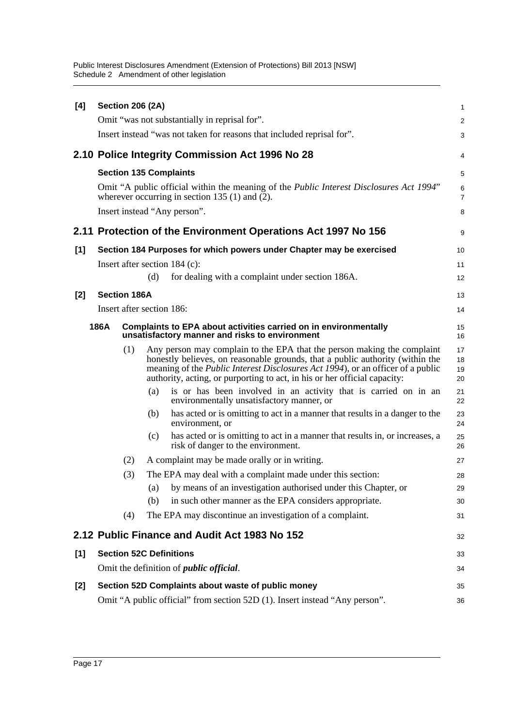Public Interest Disclosures Amendment (Extension of Protections) Bill 2013 [NSW] Schedule 2 Amendment of other legislation

| [4]                                                                                                                        |  | <b>Section 206 (2A)</b> |     |                                                                                                                                                                                                                                                                                                                                  | 1                    |
|----------------------------------------------------------------------------------------------------------------------------|--|-------------------------|-----|----------------------------------------------------------------------------------------------------------------------------------------------------------------------------------------------------------------------------------------------------------------------------------------------------------------------------------|----------------------|
|                                                                                                                            |  |                         |     | Omit "was not substantially in reprisal for".                                                                                                                                                                                                                                                                                    | $\overline{c}$       |
|                                                                                                                            |  |                         |     | Insert instead "was not taken for reasons that included reprisal for".                                                                                                                                                                                                                                                           | 3                    |
|                                                                                                                            |  |                         |     | 2.10 Police Integrity Commission Act 1996 No 28                                                                                                                                                                                                                                                                                  | 4                    |
|                                                                                                                            |  |                         |     | <b>Section 135 Complaints</b>                                                                                                                                                                                                                                                                                                    | 5                    |
|                                                                                                                            |  |                         |     | Omit "A public official within the meaning of the <i>Public Interest Disclosures Act 1994</i> "<br>wherever occurring in section 135 $(1)$ and $(2)$ .                                                                                                                                                                           | 6<br>7               |
|                                                                                                                            |  |                         |     | Insert instead "Any person".                                                                                                                                                                                                                                                                                                     | 8                    |
|                                                                                                                            |  |                         |     | 2.11 Protection of the Environment Operations Act 1997 No 156                                                                                                                                                                                                                                                                    | 9                    |
| [1]                                                                                                                        |  |                         |     | Section 184 Purposes for which powers under Chapter may be exercised                                                                                                                                                                                                                                                             | 10                   |
|                                                                                                                            |  |                         |     | Insert after section $184$ (c):                                                                                                                                                                                                                                                                                                  | 11                   |
|                                                                                                                            |  |                         | (d) | for dealing with a complaint under section 186A.                                                                                                                                                                                                                                                                                 | 12                   |
| [2]                                                                                                                        |  | <b>Section 186A</b>     |     |                                                                                                                                                                                                                                                                                                                                  | 13                   |
|                                                                                                                            |  |                         |     | Insert after section 186:                                                                                                                                                                                                                                                                                                        | 14                   |
| 186A<br>Complaints to EPA about activities carried on in environmentally<br>unsatisfactory manner and risks to environment |  |                         |     |                                                                                                                                                                                                                                                                                                                                  | 15<br>16             |
|                                                                                                                            |  | (1)                     |     | Any person may complain to the EPA that the person making the complaint<br>honestly believes, on reasonable grounds, that a public authority (within the<br>meaning of the <i>Public Interest Disclosures Act 1994</i> ), or an officer of a public<br>authority, acting, or purporting to act, in his or her official capacity: | 17<br>18<br>19<br>20 |
|                                                                                                                            |  |                         | (a) | is or has been involved in an activity that is carried on in an<br>environmentally unsatisfactory manner, or                                                                                                                                                                                                                     | 21<br>22             |
|                                                                                                                            |  |                         | (b) | has acted or is omitting to act in a manner that results in a danger to the<br>environment, or                                                                                                                                                                                                                                   | 23<br>24             |
|                                                                                                                            |  |                         | (c) | has acted or is omitting to act in a manner that results in, or increases, a<br>risk of danger to the environment.                                                                                                                                                                                                               | 25<br>26             |
|                                                                                                                            |  | (2)                     |     | A complaint may be made orally or in writing.                                                                                                                                                                                                                                                                                    | 27                   |
|                                                                                                                            |  | (3)                     |     | The EPA may deal with a complaint made under this section:                                                                                                                                                                                                                                                                       | 28                   |
|                                                                                                                            |  |                         | (a) | by means of an investigation authorised under this Chapter, or                                                                                                                                                                                                                                                                   | 29                   |
|                                                                                                                            |  |                         | (b) | in such other manner as the EPA considers appropriate.                                                                                                                                                                                                                                                                           | 30                   |
|                                                                                                                            |  | (4)                     |     | The EPA may discontinue an investigation of a complaint.                                                                                                                                                                                                                                                                         | 31                   |
|                                                                                                                            |  |                         |     | 2.12 Public Finance and Audit Act 1983 No 152                                                                                                                                                                                                                                                                                    | 32                   |
| [1]                                                                                                                        |  |                         |     | <b>Section 52C Definitions</b>                                                                                                                                                                                                                                                                                                   | 33                   |
|                                                                                                                            |  |                         |     | Omit the definition of <i>public official</i> .                                                                                                                                                                                                                                                                                  | 34                   |
| [2]                                                                                                                        |  |                         |     | Section 52D Complaints about waste of public money                                                                                                                                                                                                                                                                               | 35                   |
|                                                                                                                            |  |                         |     | Omit "A public official" from section 52D (1). Insert instead "Any person".                                                                                                                                                                                                                                                      | 36                   |